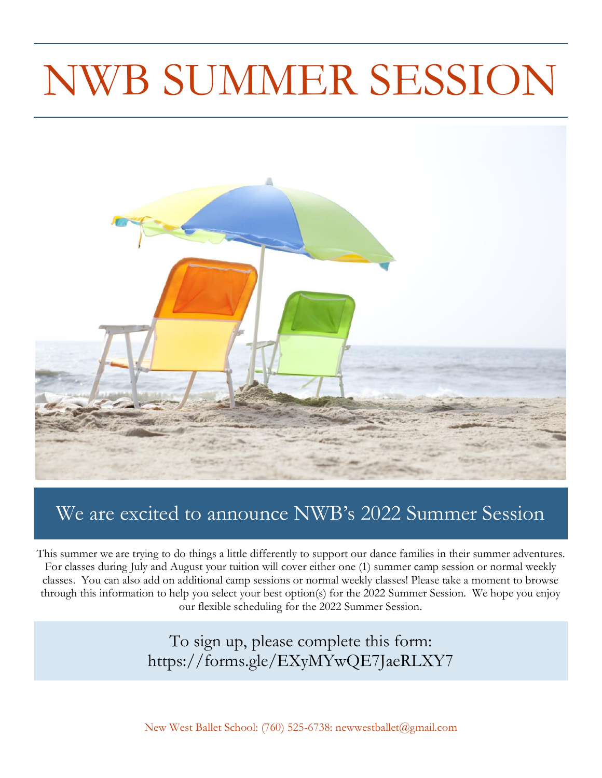## NWB SUMMER SESSION



### We are excited to announce NWB's 2022 Summer Session

This summer we are trying to do things a little differently to support our dance families in their summer adventures. For classes during July and August your tuition will cover either one (1) summer camp session or normal weekly classes. You can also add on additional camp sessions or normal weekly classes! Please take a moment to browse through this information to help you select your best option(s) for the 2022 Summer Session. We hope you enjoy our flexible scheduling for the 2022 Summer Session.

> To sign up, please complete this form: https://forms.gle/EXyMYwQE7JaeRLXY7

New West Ballet School: (760) 525-6738: newwestballet@gmail.com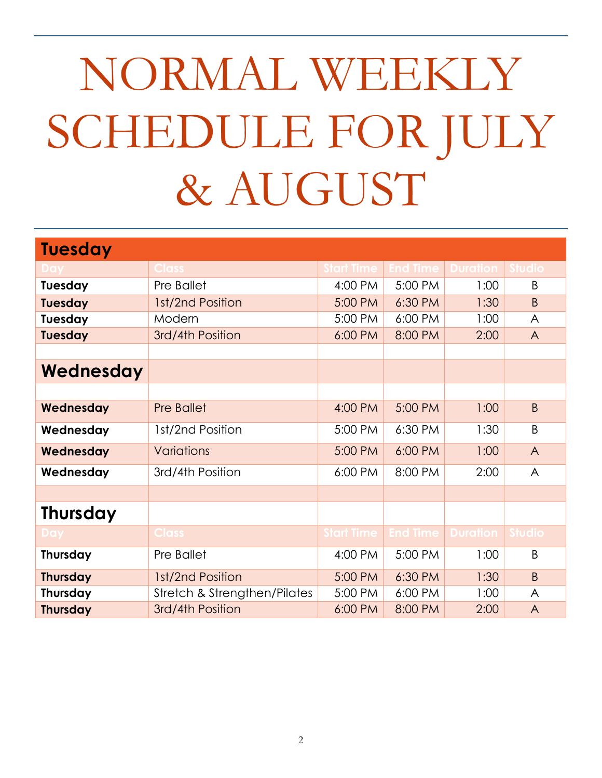# NORMAL WEEKLY SCHEDULE FOR JULY & AUGUST

| <b>Tuesday</b>  |                              |           |                 |                 |                |
|-----------------|------------------------------|-----------|-----------------|-----------------|----------------|
|                 | <b>Class</b>                 | tart Time | <b>End Time</b> | <b>Duration</b> | Studio         |
| Tuesday         | Pre Ballet                   | 4:00 PM   | 5:00 PM         | 1:00            | B              |
| <b>Tuesday</b>  | 1st/2nd Position             | 5:00 PM   | 6:30 PM         | 1:30            | B              |
| Tuesday         | Modern                       | 5:00 PM   | 6:00 PM         | 1:00            | A              |
| <b>Tuesday</b>  | 3rd/4th Position             | 6:00 PM   | 8:00 PM         | 2:00            | $\overline{A}$ |
|                 |                              |           |                 |                 |                |
| Wednesday       |                              |           |                 |                 |                |
|                 |                              |           |                 |                 |                |
| Wednesday       | <b>Pre Ballet</b>            | 4:00 PM   | 5:00 PM         | 1:00            | $\mathsf B$    |
| Wednesday       | 1st/2nd Position             | 5:00 PM   | 6:30 PM         | 1:30            | B              |
| Wednesday       | <b>Variations</b>            | 5:00 PM   | 6:00 PM         | 1:00            | $\overline{A}$ |
| Wednesday       | 3rd/4th Position             | 6:00 PM   | 8:00 PM         | 2:00            | $\overline{A}$ |
|                 |                              |           |                 |                 |                |
| <b>Thursday</b> |                              |           |                 |                 |                |
|                 | <b>Class</b>                 | tart Time | <b>End Time</b> | <b>Duration</b> | Studio         |
| Thursday        | Pre Ballet                   | 4:00 PM   | 5:00 PM         | 1:00            | B              |
| <b>Thursday</b> | 1st/2nd Position             | 5:00 PM   | 6:30 PM         | 1:30            | $\mathsf{B}$   |
| Thursday        | Stretch & Strengthen/Pilates | 5:00 PM   | 6:00 PM         | 1:00            | A              |
| <b>Thursday</b> | 3rd/4th Position             | 6:00 PM   | 8:00 PM         | 2:00            | $\wedge$       |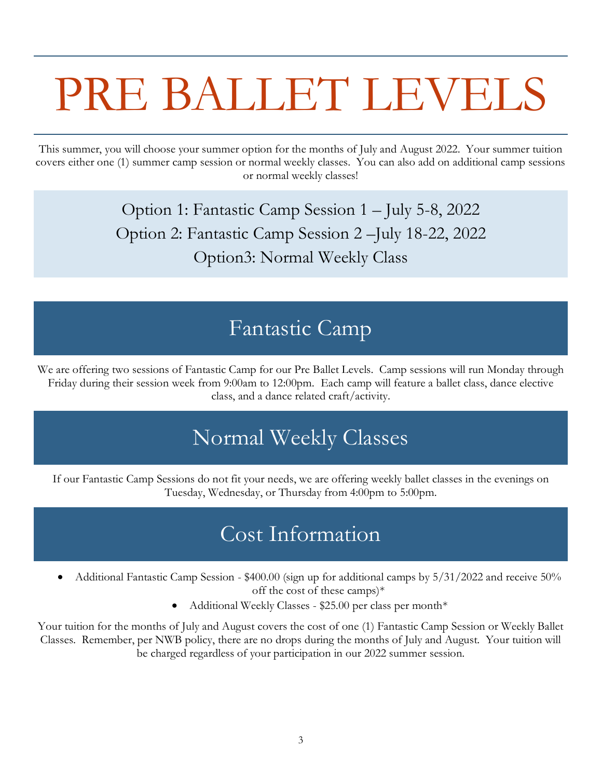## PRE BALLET LEVELS

This summer, you will choose your summer option for the months of July and August 2022. Your summer tuition covers either one (1) summer camp session or normal weekly classes. You can also add on additional camp sessions or normal weekly classes!

> Option 1: Fantastic Camp Session 1 – July 5-8, 2022 Option 2: Fantastic Camp Session 2 –July 18-22, 2022 Option3: Normal Weekly Class

## Fantastic Camp

We are offering two sessions of Fantastic Camp for our Pre Ballet Levels. Camp sessions will run Monday through Friday during their session week from 9:00am to 12:00pm. Each camp will feature a ballet class, dance elective class, and a dance related craft/activity.

## Normal Weekly Classes

If our Fantastic Camp Sessions do not fit your needs, we are offering weekly ballet classes in the evenings on Tuesday, Wednesday, or Thursday from 4:00pm to 5:00pm.

## Cost Information

- Additional Fantastic Camp Session \$400.00 (sign up for additional camps by 5/31/2022 and receive 50% off the cost of these camps)\*
	- Additional Weekly Classes \$25.00 per class per month\*

Your tuition for the months of July and August covers the cost of one (1) Fantastic Camp Session or Weekly Ballet Classes. Remember, per NWB policy, there are no drops during the months of July and August. Your tuition will be charged regardless of your participation in our 2022 summer session.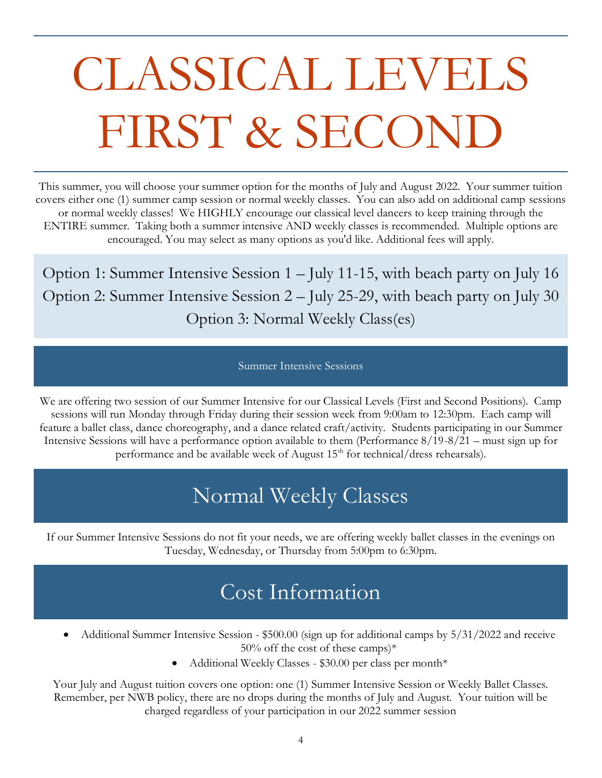# CLASSICAL LEVELS FIRST & SECOND

This summer, you will choose your summer option for the months of July and August 2022. Your summer tuition covers either one (1) summer camp session or normal weekly classes. You can also add on additional camp sessions or normal weekly classes! We HIGHLY encourage our classical level dancers to keep training through the ENTIRE summer. Taking both a summer intensive AND weekly classes is recommended. Multiple options are encouraged. You may select as many options as you'd like. Additional fees will apply.

Option 1: Summer Intensive Session 1 – July 11-15, with beach party on July 16 Option 2: Summer Intensive Session 2 – July 25-29, with beach party on July 30 Option 3: Normal Weekly Class(es)

#### Summer Intensive Sessions

We are offering two session of our Summer Intensive for our Classical Levels (First and Second Positions). Camp sessions will run Monday through Friday during their session week from 9:00am to 12:30pm. Each camp will feature a ballet class, dance choreography, and a dance related craft/activity. Students participating in our Summer Intensive Sessions will have a performance option available to them (Performance 8/19-8/21 – must sign up for performance and be available week of August 15<sup>th</sup> for technical/dress rehearsals).

## Normal Weekly Classes

If our Summer Intensive Sessions do not fit your needs, we are offering weekly ballet classes in the evenings on Tuesday, Wednesday, or Thursday from 5:00pm to 6:30pm.

### Cost Information

- Additional Summer Intensive Session \$500.00 (sign up for additional camps by 5/31/2022 and receive  $50\%$  off the cost of these camps)\*
	- Additional Weekly Classes \$30.00 per class per month\*

Your July and August tuition covers one option: one (1) Summer Intensive Session or Weekly Ballet Classes. Remember, per NWB policy, there are no drops during the months of July and August. Your tuition will be charged regardless of your participation in our 2022 summer session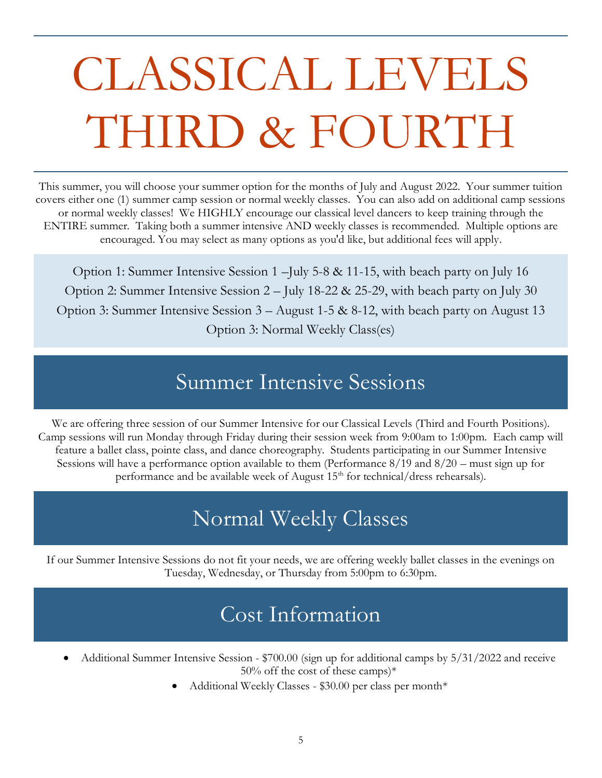# CLASSICAL LEVELS THIRD & FOURTH

This summer, you will choose your summer option for the months of July and August 2022. Your summer tuition covers either one (1) summer camp session or normal weekly classes. You can also add on additional camp sessions or normal weekly classes! We HIGHLY encourage our classical level dancers to keep training through the ENTIRE summer. Taking both a summer intensive AND weekly classes is recommended. Multiple options are encouraged. You may select as many options as you'd like, but additional fees will apply.

Option 1: Summer Intensive Session 1 –July 5-8 & 11-15, with beach party on July 16 Option 2: Summer Intensive Session 2 – July 18-22 & 25-29, with beach party on July 30 Option 3: Summer Intensive Session 3 – August 1-5 & 8-12, with beach party on August 13 Option 3: Normal Weekly Class(es)

### Summer Intensive Sessions

We are offering three session of our Summer Intensive for our Classical Levels (Third and Fourth Positions). Camp sessions will run Monday through Friday during their session week from 9:00am to 1:00pm. Each camp will feature a ballet class, pointe class, and dance choreography. Students participating in our Summer Intensive Sessions will have a performance option available to them (Performance 8/19 and 8/20 – must sign up for performance and be available week of August  $15<sup>th</sup>$  for technical/dress rehearsals).

## Normal Weekly Classes

If our Summer Intensive Sessions do not fit your needs, we are offering weekly ballet classes in the evenings on Tuesday, Wednesday, or Thursday from 5:00pm to 6:30pm.

## Cost Information

- Additional Summer Intensive Session \$700.00 (sign up for additional camps by 5/31/2022 and receive  $50\%$  off the cost of these camps)\*
	- Additional Weekly Classes \$30.00 per class per month\*